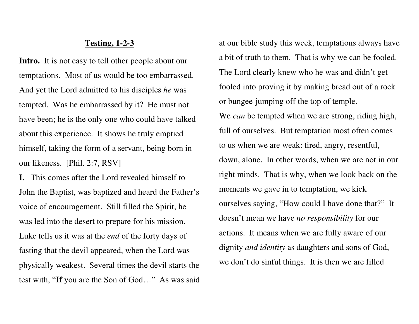## **Testing, 1-2-3**

Intro. It is not easy to tell other people about our temptations. Most of us would be too embarrassed. And yet the Lord admitted to his disciples *he* was tempted. Was he embarrassed by it? He must not have been; he is the only one who could have talkedabout this experience. It shows he truly emptied himself, taking the form of a servant, being born in our likeness. [Phil. 2:7, RSV]

**I.** This comes after the Lord revealed himself to John the Baptist, was baptized and heard the Father's voice of encouragement. Still filled the Spirit, he was led into the desert to prepare for his mission.Luke tells us it was at the *end* of the forty days of fasting that the devil appeared, when the Lord was physically weakest. Several times the devil starts the test with, "**If** you are the Son of God…" As was said

at our bible study this week, temptations always have a bit of truth to them. That is why we can be fooled. The Lord clearly knew who he was and didn't get fooled into proving it by making bread out of a rock or bungee-jumping off the top of temple.

We *can* be tempted when we are strong, riding high, full of ourselves. But temptation most often comesto us when we are weak: tired, angry, resentful, down, alone. In other words, when we are not in our right minds. That is why, when we look back on themoments we gave in to temptation, we kick ourselves saying, "How could I have done that?" Itdoesn't mean we have *no responsibility* for our actions. It means when we are fully aware of our dignity *and identity* as daughters and sons of God, we don't do sinful things. It is then we are filled